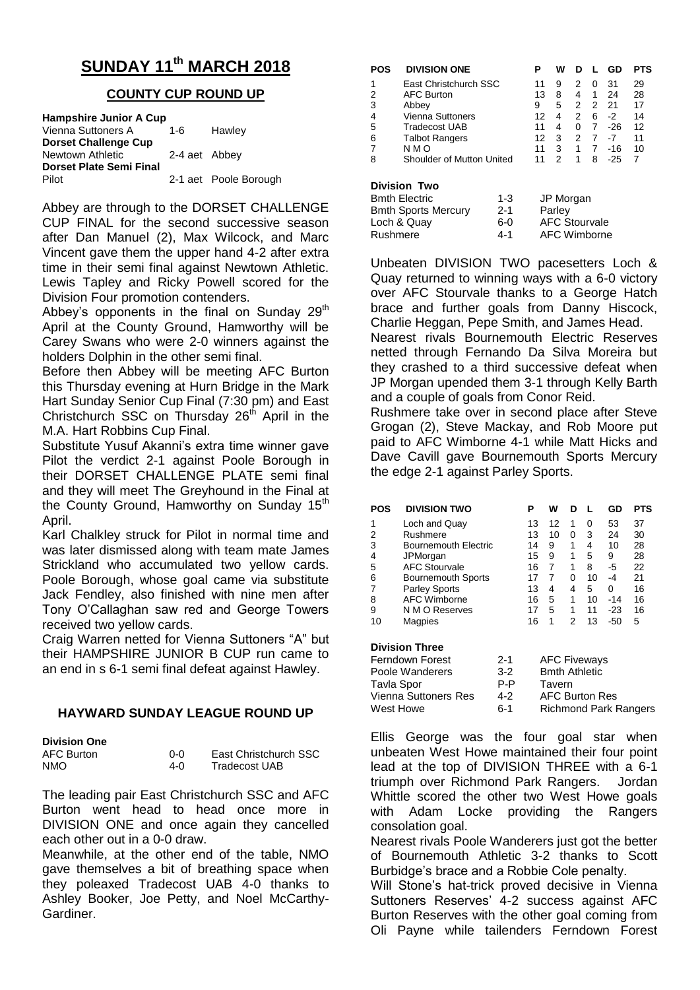# **SUNDAY 11th MARCH 2018**

# **COUNTY CUP ROUND UP**

| <b>Hampshire Junior A Cup</b>  |               |                       |  |  |  |  |
|--------------------------------|---------------|-----------------------|--|--|--|--|
| Vienna Suttoners A             | $1 - 6$       | Hawley                |  |  |  |  |
| <b>Dorset Challenge Cup</b>    |               |                       |  |  |  |  |
| Newtown Athletic               | 2-4 aet Abbey |                       |  |  |  |  |
| <b>Dorset Plate Semi Final</b> |               |                       |  |  |  |  |
| Pilot                          |               | 2-1 aet Poole Borough |  |  |  |  |

Abbey are through to the DORSET CHALLENGE CUP FINAL for the second successive season after Dan Manuel (2), Max Wilcock, and Marc Vincent gave them the upper hand 4-2 after extra time in their semi final against Newtown Athletic. Lewis Tapley and Ricky Powell scored for the Division Four promotion contenders.

Abbey's opponents in the final on Sunday  $29<sup>th</sup>$ April at the County Ground, Hamworthy will be Carey Swans who were 2-0 winners against the holders Dolphin in the other semi final.

Before then Abbey will be meeting AFC Burton this Thursday evening at Hurn Bridge in the Mark Hart Sunday Senior Cup Final (7:30 pm) and East Christchurch SSC on Thursday  $26<sup>th</sup>$  April in the M.A. Hart Robbins Cup Final.

Substitute Yusuf Akanni's extra time winner gave Pilot the verdict 2-1 against Poole Borough in their DORSET CHALLENGE PLATE semi final and they will meet The Greyhound in the Final at the County Ground, Hamworthy on Sunday 15<sup>th</sup> April.

Karl Chalkley struck for Pilot in normal time and was later dismissed along with team mate James Strickland who accumulated two yellow cards. Poole Borough, whose goal came via substitute Jack Fendley, also finished with nine men after Tony O'Callaghan saw red and George Towers received two yellow cards.

Craig Warren netted for Vienna Suttoners "A" but their HAMPSHIRE JUNIOR B CUP run came to an end in s 6-1 semi final defeat against Hawley.

## **HAYWARD SUNDAY LEAGUE ROUND UP**

| <b>Division One</b> |     |                       |
|---------------------|-----|-----------------------|
| AFC Burton          | ი-ი | East Christchurch SSC |
| NMO                 | 4-0 | Tradecost UAB         |

The leading pair East Christchurch SSC and AFC Burton went head to head once more in DIVISION ONE and once again they cancelled each other out in a 0-0 draw.

Meanwhile, at the other end of the table, NMO gave themselves a bit of breathing space when they poleaxed Tradecost UAB 4-0 thanks to Ashley Booker, Joe Petty, and Noel McCarthy-Gardiner.

| POS                 | <b>DIVISION ONE</b>       | Р  | w | n | Ι. | GD    | PTS |
|---------------------|---------------------------|----|---|---|----|-------|-----|
| 1                   | East Christchurch SSC     | 11 | 9 | 2 | 0  | 31    | 29  |
| 2                   | <b>AFC Burton</b>         | 13 | 8 | 4 | 1  | 24    | 28  |
| 3                   | Abbey                     | 9  | 5 | 2 | 2  | -21   | 17  |
| 4                   | <b>Vienna Suttoners</b>   | 12 | 4 | 2 | 6  | -2    | 14  |
| 5                   | Tradecost UAB             | 11 | 4 | 0 | 7  | -26   | 12  |
| 6                   | <b>Talbot Rangers</b>     | 12 | 3 | 2 | 7  | -7    | 11  |
| 7                   | N M O                     | 11 | 3 | 1 | 7  | $-16$ | 10  |
| 8                   | Shoulder of Mutton United | 11 | 2 | 1 | 8  | $-25$ |     |
| <b>Division Two</b> |                           |    |   |   |    |       |     |

| UIVIJIUII IWU              |         |                      |
|----------------------------|---------|----------------------|
| <b>Bmth Electric</b>       | $1 - 3$ | JP Morgan            |
| <b>Bmth Sports Mercury</b> | $2 - 1$ | Parley               |
| Loch & Quay                | 6-0     | <b>AFC Stourvale</b> |
| Rushmere                   | $4 - 1$ | <b>AFC Wimborne</b>  |
|                            |         |                      |

Unbeaten DIVISION TWO pacesetters Loch & Quay returned to winning ways with a 6-0 victory over AFC Stourvale thanks to a George Hatch brace and further goals from Danny Hiscock, Charlie Heggan, Pepe Smith, and James Head.

Nearest rivals Bournemouth Electric Reserves netted through Fernando Da Silva Moreira but they crashed to a third successive defeat when JP Morgan upended them 3-1 through Kelly Barth and a couple of goals from Conor Reid.

Rushmere take over in second place after Steve Grogan (2), Steve Mackay, and Rob Moore put paid to AFC Wimborne 4-1 while Matt Hicks and Dave Cavill gave Bournemouth Sports Mercury the edge 2-1 against Parley Sports.

| POS | <b>DIVISION TWO</b>         | P  | w  | D |    | GD    | PTS |
|-----|-----------------------------|----|----|---|----|-------|-----|
| 1   | Loch and Quay               | 13 | 12 | 1 | 0  | 53    | 37  |
| 2   | Rushmere                    | 13 | 10 | O | 3  | 24    | 30  |
| 3   | <b>Bournemouth Electric</b> | 14 | 9  | 1 | 4  | 10    | 28  |
| 4   | JPMorgan                    | 15 | 9  | 1 | 5  | 9     | 28  |
| 5   | <b>AFC Stourvale</b>        | 16 |    | 1 | 8  | -5    | 22  |
| 6   | <b>Bournemouth Sports</b>   | 17 |    | 0 | 10 | -4    | 21  |
|     | <b>Parley Sports</b>        | 13 | 4  | 4 | 5  | 0     | 16  |
| 8   | <b>AFC Wimborne</b>         | 16 | 5  | 1 | 10 | -14   | 16  |
| 9   | N M O Reserves              | 17 | 5  | 1 | 11 | $-23$ | 16  |
| 10  | Magpies                     | 16 | 1  | 2 | 13 | $-50$ | 5   |

#### **Division Three**

| Ferndown Forest             | $2 - 1$ | <b>AFC Fiveways</b>          |
|-----------------------------|---------|------------------------------|
| Poole Wanderers             | $3-2$   | <b>Bmth Athletic</b>         |
| Tavla Spor                  | P-P     | Tavern                       |
| <b>Vienna Suttoners Res</b> | $4-2$   | <b>AFC Burton Res</b>        |
| West Howe                   | ճ-1     | <b>Richmond Park Rangers</b> |
|                             |         |                              |

Ellis George was the four goal star when unbeaten West Howe maintained their four point lead at the top of DIVISION THREE with a 6-1 triumph over Richmond Park Rangers. Jordan Whittle scored the other two West Howe goals with Adam Locke providing the Rangers consolation goal.

Nearest rivals Poole Wanderers just got the better of Bournemouth Athletic 3-2 thanks to Scott Burbidge's brace and a Robbie Cole penalty.

Will Stone's hat-trick proved decisive in Vienna Suttoners Reserves' 4-2 success against AFC Burton Reserves with the other goal coming from Oli Payne while tailenders Ferndown Forest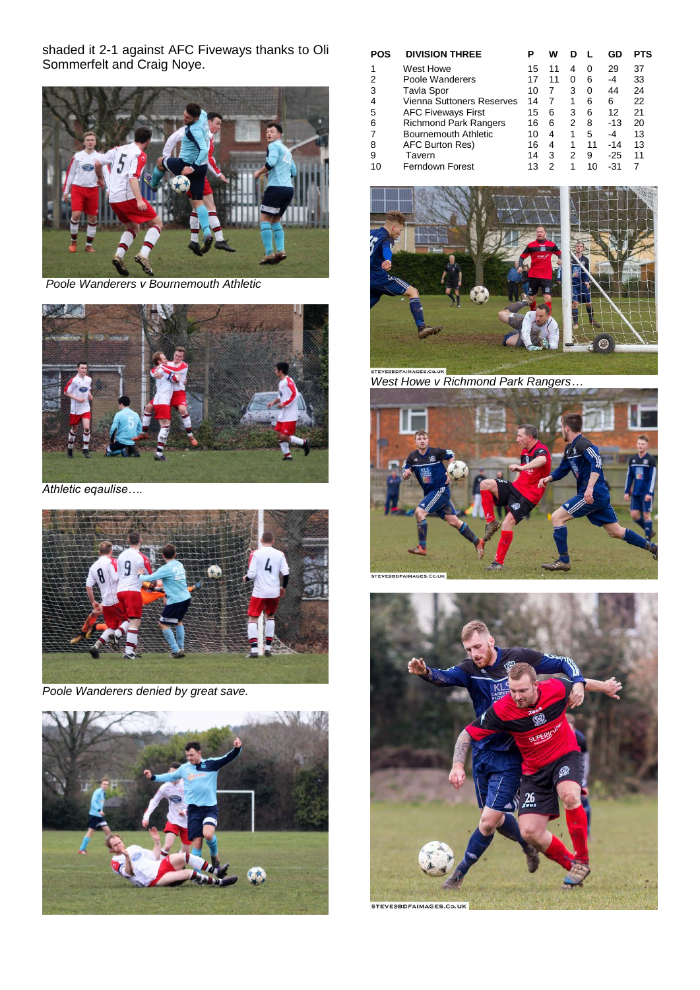shaded it 2-1 against AFC Fiveways thanks to Oli Sommerfelt and Craig Noye.



*Poole Wanderers v Bournemouth Athletic*



*Athletic eqaulise….*



*Poole Wanderers denied by great save.*



| POS | <b>DIVISION THREE</b>            | P  | w  |   |    | GD    | PTS |
|-----|----------------------------------|----|----|---|----|-------|-----|
|     | West Howe                        | 15 | 11 | 4 | 0  | 29    | 37  |
| 2   | Poole Wanderers                  |    | 11 | 0 | 6  | -4    | 33  |
| 3   | Tavla Spor                       | 10 |    | 3 | 0  | 44    | 24  |
| 4   | <b>Vienna Suttoners Reserves</b> | 14 | 7  | 1 | 6  | 6     | 22  |
| 5   | <b>AFC Fiveways First</b>        | 15 | 6  | 3 | 6  | 12    | 21  |
| 6   | <b>Richmond Park Rangers</b>     | 16 | 6  | 2 | 8  | $-13$ | 20  |
|     | Bournemouth Athletic             | 10 | 4  | 1 | 5  | -4    | 13  |
| 8   | AFC Burton Res)                  | 16 | 4  | 1 | 11 | $-14$ | 13  |
| 9   | Tavern                           | 14 | 3  | 2 | 9  | -25   | 11  |
| 10  | <b>Ferndown Forest</b>           | 13 | 2  | 1 | 10 | -31   |     |



*West Howe v Richmond Park Rangers…*